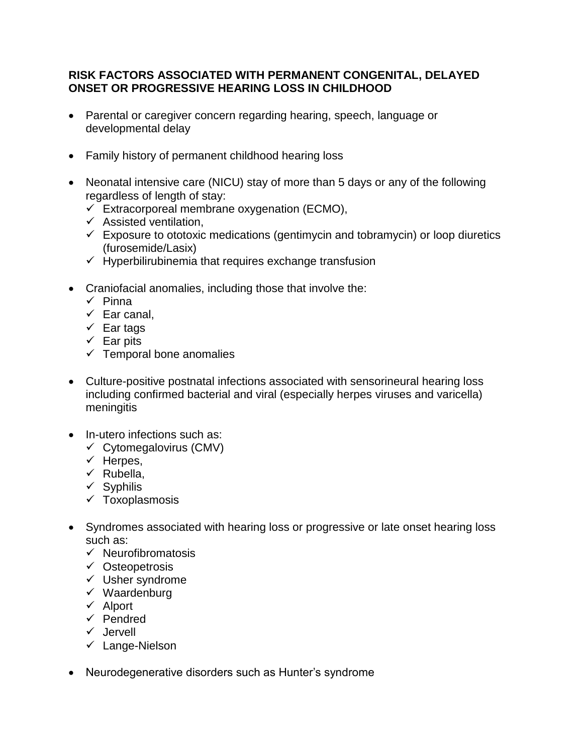## **RISK FACTORS ASSOCIATED WITH PERMANENT CONGENITAL, DELAYED ONSET OR PROGRESSIVE HEARING LOSS IN CHILDHOOD**

- Parental or caregiver concern regarding hearing, speech, language or developmental delay
- Family history of permanent childhood hearing loss
- Neonatal intensive care (NICU) stay of more than 5 days or any of the following regardless of length of stay:
	- $\checkmark$  Extracorporeal membrane oxygenation (ECMO),
	- $\checkmark$  Assisted ventilation,
	- $\checkmark$  Exposure to ototoxic medications (gentimycin and tobramycin) or loop diuretics (furosemide/Lasix)
	- $\checkmark$  Hyperbilirubinemia that requires exchange transfusion
- Craniofacial anomalies, including those that involve the:
	- $\checkmark$  Pinna
	- $\checkmark$  Ear canal,
	- $\checkmark$  Ear tags
	- $\checkmark$  Ear pits
	- $\checkmark$  Temporal bone anomalies
- Culture-positive postnatal infections associated with sensorineural hearing loss including confirmed bacterial and viral (especially herpes viruses and varicella) meningitis
- In-utero infections such as:
	- $\checkmark$  Cytomegalovirus (CMV)
	- $\checkmark$  Herpes,
	- $\times$  Rubella,
	- $\checkmark$  Syphilis
	- $\checkmark$  Toxoplasmosis
- Syndromes associated with hearing loss or progressive or late onset hearing loss such as:
	- $\checkmark$  Neurofibromatosis
	- $\checkmark$  Osteopetrosis
	- $\checkmark$  Usher syndrome
	- $\checkmark$  Waardenburg
	- $\checkmark$  Alport
	- $\checkmark$  Pendred
	- $\checkmark$  Jervell
	- $\checkmark$  Lange-Nielson
- Neurodegenerative disorders such as Hunter's syndrome